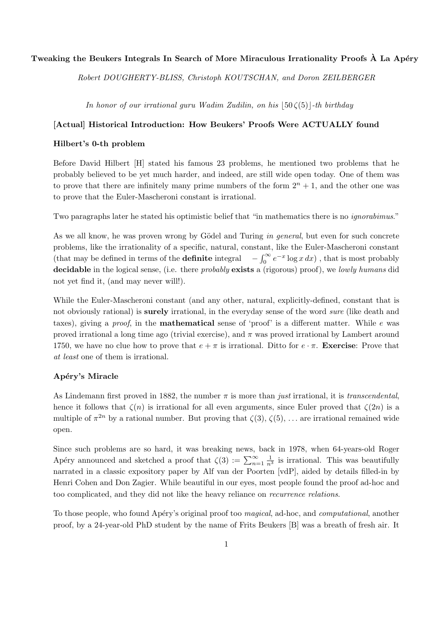# Tweaking the Beukers Integrals In Search of More Miraculous Irrationality Proofs  $\hat{A}$  La Apéry

Robert DOUGHERTY-BLISS, Christoph KOUTSCHAN, and Doron ZEILBERGER

In honor of our irrational guru Wadim Zudilin, on his  $|50\zeta(5)|$ -th birthday

## [Actual] Historical Introduction: How Beukers' Proofs Were ACTUALLY found

## Hilbert's 0-th problem

Before David Hilbert [H] stated his famous 23 problems, he mentioned two problems that he probably believed to be yet much harder, and indeed, are still wide open today. One of them was to prove that there are infinitely many prime numbers of the form  $2<sup>n</sup> + 1$ , and the other one was to prove that the Euler-Mascheroni constant is irrational.

Two paragraphs later he stated his optimistic belief that "in mathematics there is no ignorabimus."

As we all know, he was proven wrong by Gödel and Turing in general, but even for such concrete problems, like the irrationality of a specific, natural, constant, like the Euler-Mascheroni constant (that may be defined in terms of the **definite** integral  $-\int_0^\infty e^{-x} \log x \, dx$ ), that is most probably decidable in the logical sense, (i.e. there *probably* exists a (rigorous) proof), we lowly humans did not yet find it, (and may never will!).

While the Euler-Mascheroni constant (and any other, natural, explicitly-defined, constant that is not obviously rational) is **surely** irrational, in the everyday sense of the word *sure* (like death and taxes), giving a proof, in the mathematical sense of 'proof' is a different matter. While e was proved irrational a long time ago (trivial exercise), and  $\pi$  was proved irrational by Lambert around 1750, we have no clue how to prove that  $e + \pi$  is irrational. Ditto for  $e \cdot \pi$ . Exercise: Prove that at least one of them is irrational.

## Apéry's Miracle

As Lindemann first proved in 1882, the number  $\pi$  is more than *just* irrational, it is *transcendental*, hence it follows that  $\zeta(n)$  is irrational for all even arguments, since Euler proved that  $\zeta(2n)$  is a multiple of  $\pi^{2n}$  by a rational number. But proving that  $\zeta(3)$ ,  $\zeta(5)$ , ... are irrational remained wide open.

Since such problems are so hard, it was breaking news, back in 1978, when 64-years-old Roger Apéry announced and sketched a proof that  $\zeta(3) := \sum_{n=1}^{\infty} \frac{1}{n^3}$  is irrational. This was beautifully narrated in a classic expository paper by Alf van der Poorten [vdP], aided by details filled-in by Henri Cohen and Don Zagier. While beautiful in our eyes, most people found the proof ad-hoc and too complicated, and they did not like the heavy reliance on recurrence relations.

To those people, who found Apéry's original proof too magical, ad-hoc, and computational, another proof, by a 24-year-old PhD student by the name of Frits Beukers [B] was a breath of fresh air. It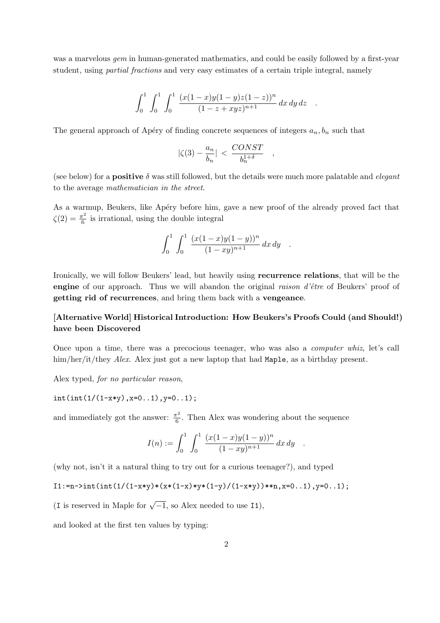was a marvelous *gem* in human-generated mathematics, and could be easily followed by a first-year student, using partial fractions and very easy estimates of a certain triple integral, namely

$$
\int_0^1 \int_0^1 \int_0^1 \frac{(x(1-x)y(1-y)z(1-z))^n}{(1-z+xyz)^{n+1}} dx dy dz .
$$

The general approach of Apéry of finding concrete sequences of integers  $a_n, b_n$  such that

$$
|\zeta(3)-\frac{a_n}{b_n}|<\frac{CONST}{b_n^{1+\delta}}
$$

,

(see below) for a **positive**  $\delta$  was still followed, but the details were much more palatable and *elegant* to the average mathematician in the street.

As a warmup, Beukers, like Apéry before him, gave a new proof of the already proved fact that  $\zeta(2) = \frac{\pi^2}{6}$  $\frac{1}{6}$  is irrational, using the double integral

$$
\int_0^1 \int_0^1 \frac{(x(1-x)y(1-y))^n}{(1-xy)^{n+1}} dx dy .
$$

Ironically, we will follow Beukers' lead, but heavily using recurrence relations, that will be the engine of our approach. Thus we will abandon the original raison  $d\hat{e}$ tre of Beukers' proof of getting rid of recurrences, and bring them back with a vengeance.

# [Alternative World] Historical Introduction: How Beukers's Proofs Could (and Should!) have been Discovered

Once upon a time, there was a precocious teenager, who was also a computer whiz, let's call him/her/it/they *Alex*. Alex just got a new laptop that had Maple, as a birthday present.

Alex typed, for no particular reason,

 $int(int(1/(1-x*y),x=0..1),y=0..1);$ 

and immediately got the answer:  $\frac{\pi^2}{6}$  $\frac{\tau^2}{6}$ . Then Alex was wondering about the sequence

$$
I(n) := \int_0^1 \int_0^1 \frac{(x(1-x)y(1-y))^n}{(1-xy)^{n+1}} dx dy .
$$

(why not, isn't it a natural thing to try out for a curious teenager?), and typed

 $I1:=n\rightarrow int(int1/(1-x*y)*(x*(1-x)*y*(1-y)/(1-x*y))**n,x=0..1),y=0..1);$ 

(I is reserved in Maple for  $\sqrt{-1}$ , so Alex needed to use I1),

and looked at the first ten values by typing: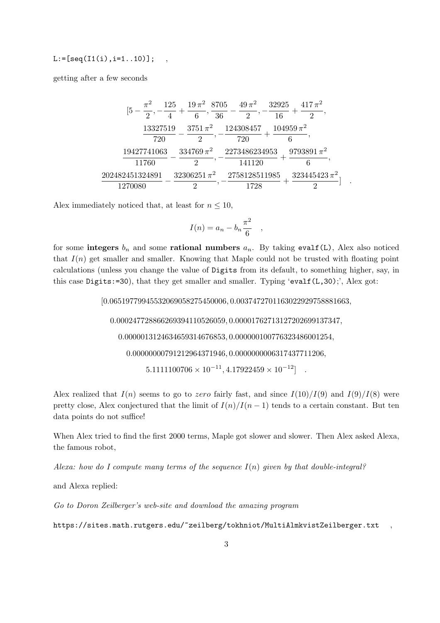# $L:=[seq(I1(i), i=1..10)]$ ;

getting after a few seconds

|                                                                                               |               | $[5 - \frac{\pi^2}{2}, - \frac{125}{4} + \frac{19\,\pi^2}{6}, \frac{8705}{36} - \frac{49\,\pi^2}{2}, - \frac{32925}{16} + \frac{417\,\pi^2}{2}$ |            |
|-----------------------------------------------------------------------------------------------|---------------|-------------------------------------------------------------------------------------------------------------------------------------------------|------------|
| 720                                                                                           | $2^{\prime}$  | 13327519 3751 $\pi^2$ 124308457 104959 $\pi^2$<br>720                                                                                           | $-6$       |
| 11760                                                                                         | $\mathcal{D}$ | $19427741063$ $334769 \pi^2$ $2273486234953$ $9793891 \pi^2$<br>141120                                                                          | $\epsilon$ |
| $202482451324891 \quad 32306251\,\pi^2 \quad 2758128511985 \quad 323445423\,\pi^2$<br>1270080 |               | 1728                                                                                                                                            |            |

Alex immediately noticed that, at least for  $n \leq 10$ ,

$$
I(n) = a_n - b_n \frac{\pi^2}{6} \quad ,
$$

for some integers  $b_n$  and some rational numbers  $a_n$ . By taking evalf(L), Alex also noticed that  $I(n)$  get smaller and smaller. Knowing that Maple could not be trusted with floating point calculations (unless you change the value of Digits from its default, to something higher, say, in this case Digits:=30), that they get smaller and smaller. Typing 'evalf $(L,30)$ '', Alex got:

[0.06519779945532069058275450006, 0.0037472701163022929758881663,

0.000247728866269394110526059, 0.00001762713127202699137347,

0.0000013124634659314676853, 0.000000100776323486001254,

0.00000000791212964371946, 0.0000000006317437711206,

 $5.1111100706 \times 10^{-11}, 4.17922459 \times 10^{-12}$ ].

Alex realized that  $I(n)$  seems to go to zero fairly fast, and since  $I(10)/I(9)$  and  $I(9)/I(8)$  were pretty close, Alex conjectured that the limit of  $I(n)/I(n-1)$  tends to a certain constant. But ten data points do not suffice!

When Alex tried to find the first 2000 terms, Maple got slower and slower. Then Alex asked Alexa, the famous robot,

Alexa: how do I compute many terms of the sequence  $I(n)$  given by that double-integral?

and Alexa replied:

Go to Doron Zeilberger's web-site and download the amazing program

https://sites.math.rutgers.edu/~zeilberg/tokhniot/MultiAlmkvistZeilberger.txt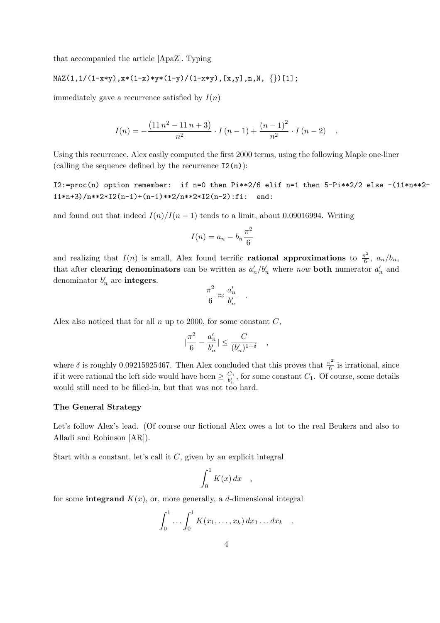that accompanied the article [ApaZ]. Typing

$$
MAX(1,1/(1-x*y),x*(1-x)*y*(1-y)/(1-x*y), [x,y], n,N, {}})[1];
$$

immediately gave a recurrence satisfied by  $I(n)$ 

$$
I(n) = -\frac{(11 n^2 - 11 n + 3)}{n^2} \cdot I(n-1) + \frac{(n-1)^2}{n^2} \cdot I(n-2)
$$

Using this recurrence, Alex easily computed the first 2000 terms, using the following Maple one-liner (calling the sequence defined by the recurrence  $I2(n)$ ):

I2:=proc(n) option remember: if n=0 then Pi\*\*2/6 elif n=1 then 5-Pi\*\*2/2 else -(11\*n\*\*2-  $11*n+3)/n**2*I2(n-1)+(n-1)**2/n**2*I2(n-2):fi: end:$ 

and found out that indeed  $I(n)/I(n-1)$  tends to a limit, about 0.09016994. Writing

$$
I(n) = a_n - b_n \frac{\pi^2}{6}
$$

and realizing that  $I(n)$  is small, Alex found terrific **rational approximations** to  $\frac{\pi^2}{6}$  $\frac{1}{6}, a_n/b_n,$ that after **clearing denominators** can be written as  $a'_n/b'_n$  where now **both** numerator  $a'_n$  and denominator  $b'_n$  are **integers**.

$$
\frac{\pi^2}{6} \approx \frac{a'_n}{b'_n}
$$

.

,

Alex also noticed that for all  $n \text{ up to } 2000$ , for some constant  $C$ ,

$$
|\frac{\pi^2}{6}-\frac{a_n'}{b_n'}|\leq \frac{C}{(b_n')^{1+\delta}}
$$

where  $\delta$  is roughly 0.09215925467. Then Alex concluded that this proves that  $\frac{\pi^2}{6}$  $\frac{5}{6}$  is irrational, since if it were rational the left side would have been  $\geq \frac{C_1}{b'_n}$ , for some constant  $C_1$ . Of course, some details would still need to be filled-in, but that was not too hard.

#### The General Strategy

Let's follow Alex's lead. (Of course our fictional Alex owes a lot to the real Beukers and also to Alladi and Robinson [AR]).

Start with a constant, let's call it  $C$ , given by an explicit integral

$$
\int_0^1 K(x) \, dx \quad ,
$$

for some integrand  $K(x)$ , or, more generally, a d-dimensional integral

$$
\int_0^1 \ldots \int_0^1 K(x_1,\ldots,x_k) dx_1 \ldots dx_k .
$$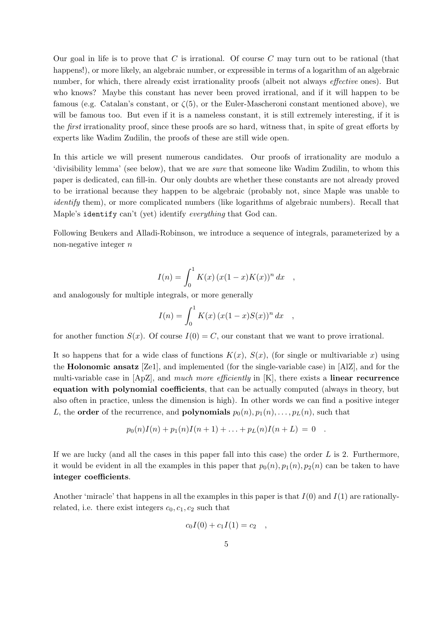Our goal in life is to prove that  $C$  is irrational. Of course  $C$  may turn out to be rational (that happens!), or more likely, an algebraic number, or expressible in terms of a logarithm of an algebraic number, for which, there already exist irrationality proofs (albeit not always effective ones). But who knows? Maybe this constant has never been proved irrational, and if it will happen to be famous (e.g. Catalan's constant, or  $\zeta(5)$ , or the Euler-Mascheroni constant mentioned above), we will be famous too. But even if it is a nameless constant, it is still extremely interesting, if it is the first irrationality proof, since these proofs are so hard, witness that, in spite of great efforts by experts like Wadim Zudilin, the proofs of these are still wide open.

In this article we will present numerous candidates. Our proofs of irrationality are modulo a 'divisibility lemma' (see below), that we are sure that someone like Wadim Zudilin, to whom this paper is dedicated, can fill-in. Our only doubts are whether these constants are not already proved to be irrational because they happen to be algebraic (probably not, since Maple was unable to identify them), or more complicated numbers (like logarithms of algebraic numbers). Recall that Maple's identify can't (yet) identify everything that God can.

Following Beukers and Alladi-Robinson, we introduce a sequence of integrals, parameterized by a non-negative integer n

$$
I(n) = \int_0^1 K(x) (x(1-x)K(x))^n dx ,
$$

and analogously for multiple integrals, or more generally

$$
I(n) = \int_0^1 K(x) (x(1-x)S(x))^n dx ,
$$

for another function  $S(x)$ . Of course  $I(0) = C$ , our constant that we want to prove irrational.

It so happens that for a wide class of functions  $K(x)$ ,  $S(x)$ , (for single or multivariable x) using the Holonomic ansatz [Ze1], and implemented (for the single-variable case) in [AlZ], and for the multi-variable case in [ApZ], and much more efficiently in [K], there exists a linear recurrence equation with polynomial coefficients, that can be actually computed (always in theory, but also often in practice, unless the dimension is high). In other words we can find a positive integer L, the **order** of the recurrence, and **polynomials**  $p_0(n), p_1(n), \ldots, p_L(n)$ , such that

$$
p_0(n)I(n) + p_1(n)I(n+1) + \ldots + p_L(n)I(n+L) = 0.
$$

If we are lucky (and all the cases in this paper fall into this case) the order  $L$  is 2. Furthermore, it would be evident in all the examples in this paper that  $p_0(n), p_1(n), p_2(n)$  can be taken to have integer coefficients.

Another 'miracle' that happens in all the examples in this paper is that  $I(0)$  and  $I(1)$  are rationallyrelated, i.e. there exist integers  $c_0, c_1, c_2$  such that

$$
c_0 I(0) + c_1 I(1) = c_2 ,
$$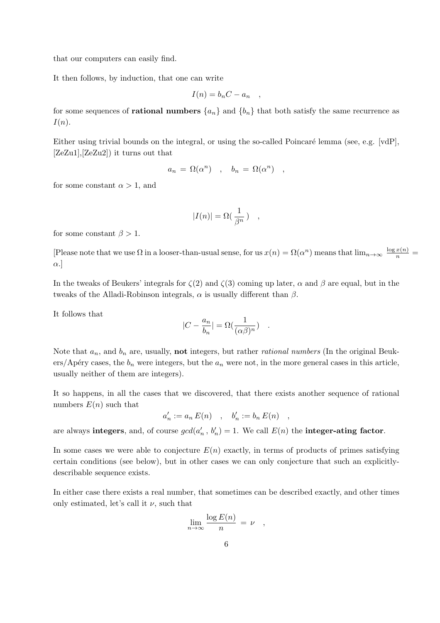that our computers can easily find.

It then follows, by induction, that one can write

$$
I(n) = b_n C - a_n ,
$$

for some sequences of **rational numbers**  $\{a_n\}$  and  $\{b_n\}$  that both satisfy the same recurrence as  $I(n).$ 

Either using trivial bounds on the integral, or using the so-called Poincaré lemma (see, e.g. [vdP], [ZeZu1],[ZeZu2]) it turns out that

$$
a_n = \Omega(\alpha^n) \quad , \quad b_n = \Omega(\alpha^n) \quad ,
$$

for some constant  $\alpha > 1$ , and

$$
|I(n)| = \Omega(\frac{1}{\beta^n}) \quad ,
$$

for some constant  $\beta > 1$ .

[Please note that we use  $\Omega$  in a looser-than-usual sense, for us  $x(n) = \Omega(\alpha^n)$  means that  $\lim_{n\to\infty} \frac{\log x(n)}{n}$ α.]

In the tweaks of Beukers' integrals for  $\zeta(2)$  and  $\zeta(3)$  coming up later,  $\alpha$  and  $\beta$  are equal, but in the tweaks of the Alladi-Robinson integrals,  $\alpha$  is usually different than  $\beta$ .

It follows that

$$
|C - \frac{a_n}{b_n}| = \Omega(\frac{1}{(\alpha \beta)^n}) \quad .
$$

Note that  $a_n$ , and  $b_n$  are, usually, **not** integers, but rather *rational numbers* (In the original Beukers/Apéry cases, the  $b_n$  were integers, but the  $a_n$  were not, in the more general cases in this article, usually neither of them are integers).

It so happens, in all the cases that we discovered, that there exists another sequence of rational numbers  $E(n)$  such that

 $a'_n := a_n E(n)$ ,  $b'_n := b_n E(n)$ ,

are always integers, and, of course  $gcd(a'_n, b'_n) = 1$ . We call  $E(n)$  the integer-ating factor.

In some cases we were able to conjecture  $E(n)$  exactly, in terms of products of primes satisfying certain conditions (see below), but in other cases we can only conjecture that such an explicitlydescribable sequence exists.

In either case there exists a real number, that sometimes can be described exactly, and other times only estimated, let's call it  $\nu$ , such that

$$
\lim_{n \to \infty} \frac{\log E(n)}{n} = \nu \quad ,
$$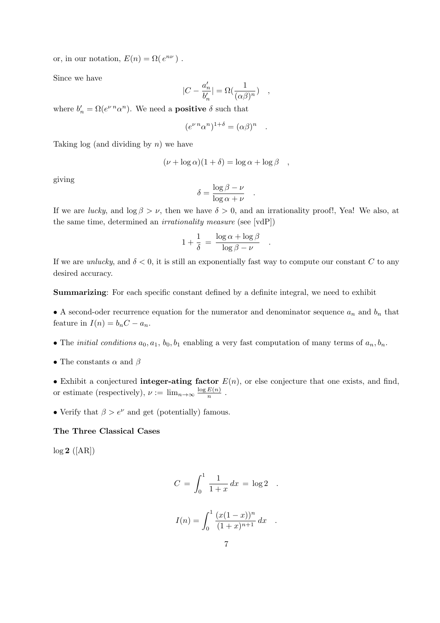or, in our notation,  $E(n) = \Omega(e^{n\nu})$ .

Since we have

$$
|C - \frac{a'_n}{b'_n}| = \Omega(\frac{1}{(\alpha \beta)^n}) \quad ,
$$

where  $b'_n = \Omega(e^{\nu n} \alpha^n)$ . We need a **positive**  $\delta$  such that

$$
(e^{\nu n} \alpha^n)^{1+\delta} = (\alpha \beta)^n
$$

.

.

.

Taking  $log$  (and dividing by  $n)$ ) we have

$$
(\nu + \log \alpha)(1 + \delta) = \log \alpha + \log \beta \quad ,
$$

giving

$$
\delta = \frac{\log \beta - \nu}{\log \alpha + \nu}
$$

If we are *lucky*, and  $\log \beta > \nu$ , then we have  $\delta > 0$ , and an irrationality proof!, Yea! We also, at the same time, determined an irrationality measure (see [vdP])

$$
1 + \frac{1}{\delta} = \frac{\log \alpha + \log \beta}{\log \beta - \nu}
$$

If we are *unlucky*, and  $\delta < 0$ , it is still an exponentially fast way to compute our constant C to any desired accuracy.

Summarizing: For each specific constant defined by a definite integral, we need to exhibit

• A second-oder recurrence equation for the numerator and denominator sequence  $a_n$  and  $b_n$  that feature in  $I(n) = b_n C - a_n$ .

- The *initial conditions*  $a_0, a_1, b_0, b_1$  enabling a very fast computation of many terms of  $a_n, b_n$ .
- The constants  $\alpha$  and  $\beta$

• Exhibit a conjectured **integer-ating factor**  $E(n)$ , or else conjecture that one exists, and find, or estimate (respectively),  $\nu := \lim_{n \to \infty} \frac{\log E(n)}{n}$  $\frac{\mu(n)}{n}$ .

• Verify that  $\beta > e^{\nu}$  and get (potentially) famous.

## The Three Classical Cases

 $log 2$  ([AR])

$$
C = \int_0^1 \frac{1}{1+x} dx = \log 2
$$
  

$$
I(n) = \int_0^1 \frac{(x(1-x))^n}{(1+x)^{n+1}} dx
$$
.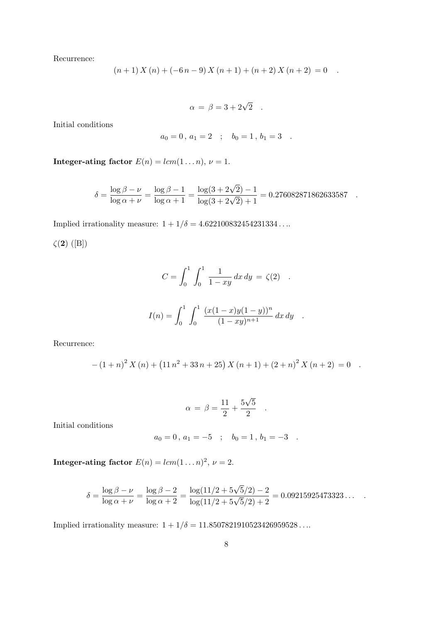Recurrence:

$$
(n+1) X (n) + (-6n-9) X (n+1) + (n+2) X (n+2) = 0.
$$

$$
\alpha = \beta = 3 + 2\sqrt{2} .
$$

Initial conditions

$$
a_0 = 0 \, , \, a_1 = 2 \quad ; \quad b_0 = 1 \, , \, b_1 = 3 \quad .
$$

**Integer-ating factor**  $E(n) = lcm(1...n), \nu = 1.$ 

$$
\delta = \frac{\log \beta - \nu}{\log \alpha + \nu} = \frac{\log \beta - 1}{\log \alpha + 1} = \frac{\log(3 + 2\sqrt{2}) - 1}{\log(3 + 2\sqrt{2}) + 1} = 0.276082871862633587
$$

Implied irrationality measure:  $1 + 1/\delta = 4.622100832454231334...$ 

 $\zeta(2)$  ([B])

$$
C = \int_0^1 \int_0^1 \frac{1}{1 - xy} dx dy = \zeta(2) .
$$
  

$$
I(n) = \int_0^1 \int_0^1 \frac{(x(1 - x)y(1 - y))^n}{(1 - xy)^{n+1}} dx dy .
$$

Recurrence:

$$
-(1+n)^{2} X(n) + (11 n^{2} + 33 n + 25) X(n+1) + (2+n)^{2} X(n+2) = 0.
$$

$$
\alpha = \beta = \frac{11}{2} + \frac{5\sqrt{5}}{2} .
$$

Initial conditions

$$
a_0 = 0
$$
,  $a_1 = -5$ ;  $b_0 = 1$ ,  $b_1 = -3$ .

**Integer-ating factor**  $E(n) = lcm(1...n)^2$ ,  $\nu = 2$ .

$$
\delta = \frac{\log \beta - \nu}{\log \alpha + \nu} = \frac{\log \beta - 2}{\log \alpha + 2} = \frac{\log(11/2 + 5\sqrt{5}/2) - 2}{\log(11/2 + 5\sqrt{5}/2) + 2} = 0.09215925473323...
$$

Implied irrationality measure:  $1 + 1/\delta = 11.8507821910523426959528...$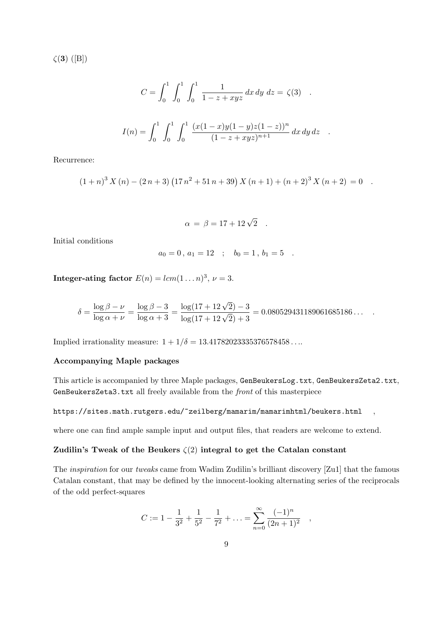$\zeta(3)$  ([B])

$$
C = \int_0^1 \int_0^1 \int_0^1 \frac{1}{1 - z + xyz} dx dy dz = \zeta(3) .
$$
  

$$
I(n) = \int_0^1 \int_0^1 \int_0^1 \frac{(x(1-x)y(1-y)z(1-z))^n}{(1 - z + xyz)^{n+1}} dx dy dz .
$$

Recurrence:

$$
(1+n)^{3} X(n) - (2n+3) (17n^{2} + 51n + 39) X(n+1) + (n+2)^{3} X(n+2) = 0.
$$

$$
\alpha = \beta = 17 + 12\sqrt{2} \quad .
$$

Initial conditions

$$
a_0 = 0, a_1 = 12 \quad ; \quad b_0 = 1, b_1 = 5 \quad .
$$

Integer-ating factor  $E(n) = lcm(1...n)^3$ ,  $\nu = 3$ .

$$
\delta = \frac{\log \beta - \nu}{\log \alpha + \nu} = \frac{\log \beta - 3}{\log \alpha + 3} = \frac{\log(17 + 12\sqrt{2}) - 3}{\log(17 + 12\sqrt{2}) + 3} = 0.080529431189061685186\dots
$$

Implied irrationality measure:  $1 + 1/\delta = 13.41782023335376578458...$ 

# Accompanying Maple packages

This article is accompanied by three Maple packages, GenBeukersLog.txt, GenBeukersZeta2.txt, GenBeukersZeta3.txt all freely available from the front of this masterpiece

### https://sites.math.rutgers.edu/~zeilberg/mamarim/mamarimhtml/beukers.html ,

where one can find ample sample input and output files, that readers are welcome to extend.

# Zudilin's Tweak of the Beukers  $\zeta(2)$  integral to get the Catalan constant

The inspiration for our tweaks came from Wadim Zudilin's brilliant discovery [Zu1] that the famous Catalan constant, that may be defined by the innocent-looking alternating series of the reciprocals of the odd perfect-squares

$$
C := 1 - \frac{1}{3^2} + \frac{1}{5^2} - \frac{1}{7^2} + \dots = \sum_{n=0}^{\infty} \frac{(-1)^n}{(2n+1)^2}
$$

,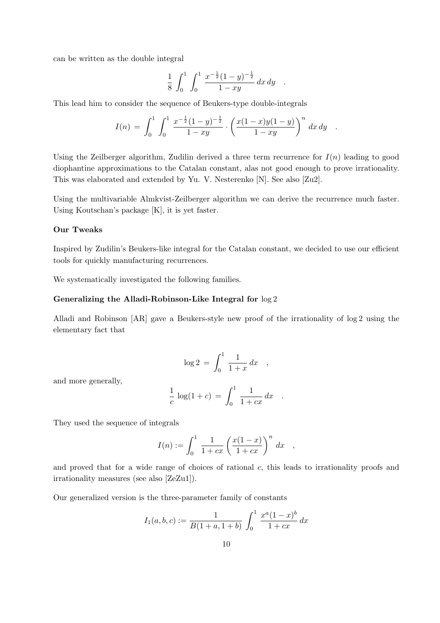can be written as the double integral

$$
\frac{1}{8} \int_0^1 \int_0^1 \frac{x^{-\frac{1}{2}}(1-y)^{-\frac{1}{2}}}{1-xy} dx dy .
$$

This lead him to consider the sequence of Beukers-type double-integrals

$$
I(n) = \int_0^1 \int_0^1 \frac{x^{-\frac{1}{2}}(1-y)^{-\frac{1}{2}}}{1-xy} \cdot \left(\frac{x(1-x)y(1-y)}{1-xy}\right)^n dx dy.
$$

Using the Zeilberger algorithm, Zudilin derived a three term recurrence for  $I(n)$  leading to good diophantine approximations to the Catalan constant, alas not good enough to prove irrationality. This was elaborated and extended by Yu. V. Nesterenko [N]. See also [Zu2].

Using the multivariable Almkvist-Zeilberger algorithm we can derive the recurrence much faster. Using Koutschan's package [K], it is yet faster.

#### Our Tweaks

Inspired by Zudilin's Beukers-like integral for the Catalan constant, we decided to use our efficient tools for quickly manufacturing recurrences.

We systematically investigated the following families.

## Generalizing the Alladi-Robinson-Like Integral for log 2

Alladi and Robinson [AR] gave a Beukers-style new proof of the irrationality of log 2 using the elementary fact that

$$
\log 2 = \int_0^1 \frac{1}{1+x} \, dx \quad ,
$$

and more generally,

$$
\frac{1}{c}\,\log(1+c) \,=\, \int_0^1\,\frac{1}{1+cx}\,dx \quad .
$$

They used the sequence of integrals

$$
I(n) := \int_0^1 \frac{1}{1+cx} \left(\frac{x(1-x)}{1+cx}\right)^n dx ,
$$

and proved that for a wide range of choices of rational  $c$ , this leads to irrationality proofs and irrationality measures (see also [ZeZu1]).

Our generalized version is the three-parameter family of constants

$$
I_1(a, b, c) := \frac{1}{B(1 + a, 1 + b)} \int_0^1 \frac{x^a (1 - x)^b}{1 + cx} dx
$$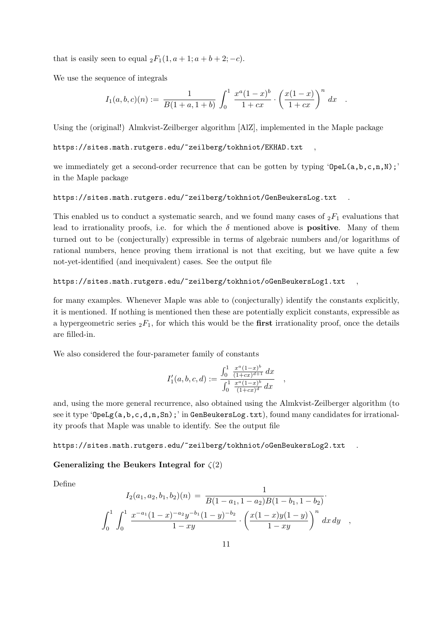that is easily seen to equal  ${}_2F_1(1, a+1; a+b+2; -c)$ .

We use the sequence of integrals

$$
I_1(a,b,c)(n) := \frac{1}{B(1+a,1+b)} \int_0^1 \frac{x^a(1-x)^b}{1+cx} \cdot \left(\frac{x(1-x)}{1+cx}\right)^n dx .
$$

Using the (original!) Almkvist-Zeilberger algorithm [AlZ], implemented in the Maple package

https://sites.math.rutgers.edu/~zeilberg/tokhniot/EKHAD.txt

we immediately get a second-order recurrence that can be gotten by typing ' $OpeL(a,b,c,n,N)$ ;' in the Maple package

#### https://sites.math.rutgers.edu/~zeilberg/tokhniot/GenBeukersLog.txt .

This enabled us to conduct a systematic search, and we found many cases of  $_2F_1$  evaluations that lead to irrationality proofs, i.e. for which the  $\delta$  mentioned above is **positive**. Many of them turned out to be (conjecturally) expressible in terms of algebraic numbers and/or logarithms of rational numbers, hence proving them irrational is not that exciting, but we have quite a few not-yet-identified (and inequivalent) cases. See the output file

#### https://sites.math.rutgers.edu/~zeilberg/tokhniot/oGenBeukersLog1.txt

for many examples. Whenever Maple was able to (conjecturally) identify the constants explicitly, it is mentioned. If nothing is mentioned then these are potentially explicit constants, expressible as a hypergeometric series  ${}_2F_1$ , for which this would be the **first** irrationality proof, once the details are filled-in.

We also considered the four-parameter family of constants

$$
I'_1(a,b,c,d) := \frac{\int_0^1 \frac{x^a(1-x)^b}{(1+cx)^{d+1}} dx}{\int_0^1 \frac{x^a(1-x)^b}{(1+cx)^d} dx} ,
$$

and, using the more general recurrence, also obtained using the Almkvist-Zeilberger algorithm (to see it type ' $\mathsf{Opelg}(a,b,c,d,n,Sn)$ ; in GenBeukersLog.txt), found many candidates for irrationality proofs that Maple was unable to identify. See the output file

https://sites.math.rutgers.edu/~zeilberg/tokhniot/oGenBeukersLog2.txt

## Generalizing the Beukers Integral for  $\zeta(2)$

Define

$$
I_2(a_1, a_2, b_1, b_2)(n) = \frac{1}{B(1 - a_1, 1 - a_2)B(1 - b_1, 1 - b_2)}.
$$
  

$$
\int_0^1 \int_0^1 \frac{x^{-a_1}(1 - x)^{-a_2}y^{-b_1}(1 - y)^{-b_2}}{1 - xy} \cdot \left(\frac{x(1 - x)y(1 - y)}{1 - xy}\right)^n dx dy ,
$$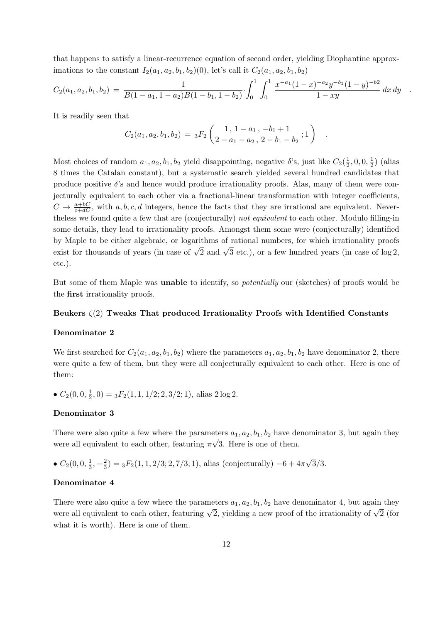that happens to satisfy a linear-recurrence equation of second order, yielding Diophantine approximations to the constant  $I_2(a_1, a_2, b_1, b_2)(0)$ , let's call it  $C_2(a_1, a_2, b_1, b_2)$ 

$$
C_2(a_1, a_2, b_1, b_2) = \frac{1}{B(1-a_1, 1-a_2)B(1-b_1, 1-b_2)} \int_0^1 \int_0^1 \frac{x^{-a_1}(1-x)^{-a_2}y^{-b_1}(1-y)^{-b_2}}{1-xy} dx dy.
$$

It is readily seen that

$$
C_2(a_1, a_2, b_1, b_2) = {}_3F_2\left(\begin{array}{rrr}1 & 1-a_1 & -b_1+1\\2-a_1-a_2 & 2-b_1-b_2\end{array}; 1\right) .
$$

Most choices of random  $a_1, a_2, b_1, b_2$  yield disappointing, negative  $\delta$ 's, just like  $C_2(\frac{1}{2})$  $\frac{1}{2}$ , 0, 0,  $\frac{1}{2}$  $(\frac{1}{2})$  (alias 8 times the Catalan constant), but a systematic search yielded several hundred candidates that produce positive  $\delta$ 's and hence would produce irrationality proofs. Alas, many of them were conjecturally equivalent to each other via a fractional-linear transformation with integer coefficients,  $C \to \frac{a+bC}{c+dC}$ , with a, b, c, d integers, hence the facts that they are irrational are equivalent. Nevertheless we found quite a few that are (conjecturally) not equivalent to each other. Modulo filling-in some details, they lead to irrationality proofs. Amongst them some were (conjecturally) identified by Maple to be either algebraic, or logarithms of rational numbers, for which irrationality proofs exist for thousands of years (in case of  $\sqrt{2}$  and  $\sqrt{3}$  etc.), or a few hundred years (in case of log 2, etc.).

But some of them Maple was unable to identify, so potentially our (sketches) of proofs would be the first irrationality proofs.

# Beukers  $\zeta(2)$  Tweaks That produced Irrationality Proofs with Identified Constants

#### Denominator 2

We first searched for  $C_2(a_1, a_2, b_1, b_2)$  where the parameters  $a_1, a_2, b_1, b_2$  have denominator 2, there were quite a few of them, but they were all conjecturally equivalent to each other. Here is one of them:

•  $C_2(0,0,\frac{1}{2})$  $(\frac{1}{2}, 0) = {}_{3}F_{2}(1, 1, 1/2; 2, 3/2; 1)$ , alias  $2 \log 2$ .

## Denominator 3

There were also quite a few where the parameters  $a_1, a_2, b_1, b_2$  have denominator 3, but again they were all equivalent to each other, featuring  $\pi\sqrt{3}$ . Here is one of them.

•  $C_2(0,0,\frac{1}{3})$  $\frac{1}{3}, -\frac{2}{3}$  $\frac{2}{3}$ ) = <sub>3</sub> $F_2(1, 1, 2/3; 2, 7/3; 1)$ , alias (conjecturally)  $-6 + 4\pi\sqrt{3}/3$ .

#### Denominator 4

There were also quite a few where the parameters  $a_1, a_2, b_1, b_2$  have denominator 4, but again they were all equivalent to each other, featuring  $\sqrt{2}$ , yielding a new proof of the irrationality of  $\sqrt{2}$  (for what it is worth). Here is one of them.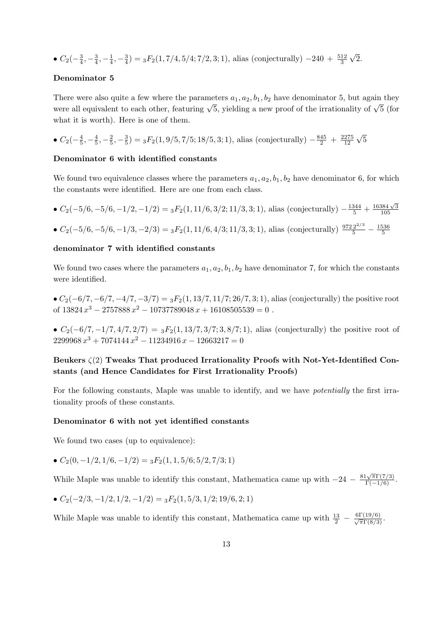•  $C_2(-\frac{3}{4})$  $\frac{3}{4}, -\frac{3}{4}$  $\frac{3}{4}, -\frac{1}{4}$  $\frac{1}{4}$ ,  $-\frac{3}{4}$  $\frac{3}{4}$ ) = <sub>3</sub> $F_2(1, 7/4, 5/4; 7/2, 3; 1)$ , alias (conjecturally) -240 +  $\frac{512}{3}$  $\sqrt{2}$ .

## Denominator 5

There were also quite a few where the parameters  $a_1, a_2, b_1, b_2$  have denominator 5, but again they were all equivalent to each other, featuring  $\sqrt{5}$ , yielding a new proof of the irrationality of  $\sqrt{5}$  (for what it is worth). Here is one of them.

• 
$$
C_2(-\frac{4}{5}, -\frac{4}{5}, -\frac{2}{5}, -\frac{3}{5}) = {}_3F_2(1, 9/5, 7/5; 18/5, 3; 1)
$$
, alias (conjecturally)  $-\frac{845}{2} + \frac{2275}{12} \sqrt{5}$ 

## Denominator 6 with identified constants

We found two equivalence classes where the parameters  $a_1, a_2, b_1, b_2$  have denominator 6, for which the constants were identified. Here are one from each class.

•  $C_2(-5/6, -5/6, -1/2, -1/2) = {}_3F_2(1, 11/6, 3/2; 11/3, 3; 1)$ , alias (conjecturally)  $-\frac{1344}{5} + \frac{16384\sqrt{3}}{105}$ 105

• 
$$
C_2(-5/6, -5/6, -1/3, -2/3) = {}_3F_2(1, 11/6, 4/3; 11/3, 3; 1)
$$
, alias (conjecturally)  $\frac{9722^{2/3}}{5} - \frac{1536}{5}$ 

#### denominator 7 with identified constants

We found two cases where the parameters  $a_1, a_2, b_1, b_2$  have denominator 7, for which the constants were identified.

•  $C_2(-6/7, -6/7, -4/7, -3/7) = {}_3F_2(1, 13/7, 11/7; 26/7, 3; 1)$ , alias (conjecturally) the positive root of  $13824 x^3 - 2757888 x^2 - 10737789048 x + 16108505539 = 0$ .

•  $C_2(-6/7, -1/7, 4/7, 2/7) = {}_3F_2(1, 13/7, 3/7; 3, 8/7; 1)$ , alias (conjecturally) the positive root of  $2299968 x^3 + 7074144 x^2 - 11234916 x - 12663217 = 0$ 

# Beukers  $\zeta(2)$  Tweaks That produced Irrationality Proofs with Not-Yet-Identified Constants (and Hence Candidates for First Irrationality Proofs)

For the following constants, Maple was unable to identify, and we have potentially the first irrationality proofs of these constants.

#### Denominator 6 with not yet identified constants

We found two cases (up to equivalence):

•  $C_2(0, -1/2, 1/6, -1/2) = {}_3F_2(1, 1, 5/6; 5/2, 7/3; 1)$ 

While Maple was unable to identify this constant, Mathematica came up with  $-24 - \frac{81\sqrt{\pi}\Gamma(7/3)}{\Gamma(-1/6)}$ .

• 
$$
C_2(-2/3, -1/2, 1/2, -1/2) = {}_3F_2(1, 5/3, 1/2; 19/6, 2; 1)
$$

While Maple was unable to identify this constant, Mathematica came up with  $\frac{13}{2} - \frac{6\Gamma(19/6)}{\sqrt{\pi}\Gamma(8/3)}$ .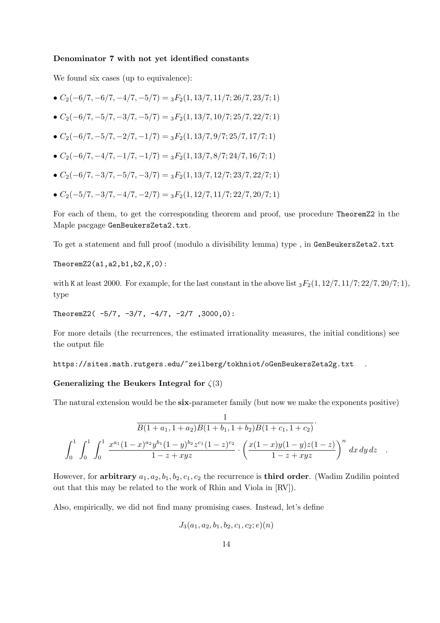#### Denominator 7 with not yet identified constants

We found six cases (up to equivalence):

- $C_2(-6/7, -6/7, -4/7, -5/7) = {}_3F_2(1, 13/7, 11/7; 26/7, 23/7; 1)$
- $C_2(-6/7, -5/7, -3/7, -5/7) = {}_3F_2(1, 13/7, 10/7; 25/7, 22/7; 1)$
- $C_2(-6/7, -5/7, -2/7, -1/7) = {}_3F_2(1, 13/7, 9/7; 25/7, 17/7; 1)$
- $C_2(-6/7, -4/7, -1/7, -1/7) = {}_3F_2(1, 13/7, 8/7; 24/7, 16/7; 1)$
- $C_2(-6/7, -3/7, -5/7, -3/7) = {}_3F_2(1, 13/7, 12/7; 23/7, 22/7; 1)$
- $C_2(-5/7, -3/7, -4/7, -2/7) = {}_3F_2(1, 12/7, 11/7; 22/7, 20/7; 1)$

For each of them, to get the corresponding theorem and proof, use procedure TheoremZ2 in the Maple pacgage GenBeukersZeta2.txt.

To get a statement and full proof (modulo a divisibility lemma) type , in GenBeukersZeta2.txt

TheoremZ2(a1,a2,b1,b2,K,0):

with K at least 2000. For example, for the last constant in the above list  ${}_3F_2(1, 12/7, 11/7; 22/7, 20/7; 1)$ , type

TheoremZ2( $-5/7$ ,  $-3/7$ ,  $-4/7$ ,  $-2/7$ ,  $3000.0$ ):

For more details (the recurrences, the estimated irrationality measures, the initial conditions) see the output file

https://sites.math.rutgers.edu/~zeilberg/tokhniot/oGenBeukersZeta2g.txt

## Generalizing the Beukers Integral for  $\zeta(3)$

The natural extension would be the six-parameter family (but now we make the exponents positive)

$$
\frac{1}{B(1+a_1, 1+a_2)B(1+b_1, 1+b_2)B(1+c_1, 1+c_2)}
$$

$$
\int_0^1 \int_0^1 \int_0^1 \frac{x^{a_1}(1-x)^{a_2}y^{b_1}(1-y)^{b_2}z^{c_1}(1-z)^{c_2}}{1-z+xyz} \cdot \left(\frac{x(1-x)y(1-y)z(1-z)}{1-z+xyz}\right)^n dx dy dz.
$$

However, for arbitrary  $a_1, a_2, b_1, b_2, c_1, c_2$  the recurrence is third order. (Wadim Zudilin pointed out that this may be related to the work of Rhin and Viola in [RV]).

Also, empirically, we did not find many promising cases. Instead, let's define

$$
J_3(a_1,a_2,b_1,b_2,c_1,c_2;e)(n)
$$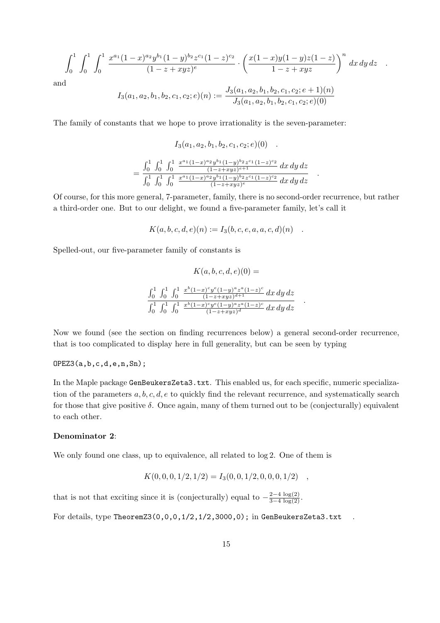$$
\int_0^1 \int_0^1 \int_0^1 \frac{x^{a_1}(1-x)^{a_2}y^{b_1}(1-y)^{b_2}z^{c_1}(1-z)^{c_2}}{(1-z+xyz)^e} \cdot \left(\frac{x(1-x)y(1-y)z(1-z)}{1-z+xyz}\right)^n dx dy dz.
$$

and

$$
I_3(a_1, a_2, b_1, b_2, c_1, c_2; e)(n) := \frac{J_3(a_1, a_2, b_1, b_2, c_1, c_2; e + 1)(n)}{J_3(a_1, a_2, b_1, b_2, c_1, c_2; e)(0)}
$$

The family of constants that we hope to prove irrationality is the seven-parameter:

$$
I_3(a_1, a_2, b_1, b_2, c_1, c_2; e)(0) = \frac{\int_0^1 \int_0^1 \int_0^1 \frac{x^{a_1}(1-x)^{a_2}y^{b_1}(1-y)^{b_2}z^{c_1}(1-z)^{c_2}}{(1-z+xyz)^{e+1}} dx dy dz}{\int_0^1 \int_0^1 \int_0^1 \frac{x^{a_1}(1-x)^{a_2}y^{b_1}(1-y)^{b_2}z^{c_1}(1-z)^{c_2}}{(1-z+xyz)^{e}} dx dy dz}
$$

Of course, for this more general, 7-parameter, family, there is no second-order recurrence, but rather a third-order one. But to our delight, we found a five-parameter family, let's call it

.

.

$$
K(a, b, c, d, e)(n) := I_3(b, c, e, a, a, c, d)(n) .
$$

Spelled-out, our five-parameter family of constants is

$$
K(a, b, c, d, e)(0) =
$$
  

$$
\int_0^1 \int_0^1 \int_0^1 \frac{x^b (1-x)^c y^e (1-y)^a z^a (1-z)^c}{(1-z+xyz)^{d+1}} dx dy dz
$$
  

$$
\int_0^1 \int_0^1 \int_0^1 \frac{x^b (1-x)^c y^e (1-y)^a z^a (1-z)^c}{(1-z+xyz)^d} dx dy dz
$$

Now we found (see the section on finding recurrences below) a general second-order recurrence, that is too complicated to display here in full generality, but can be seen by typing

## OPEZ3(a,b,c,d,e,n,Sn);

In the Maple package GenBeukersZeta3.txt. This enabled us, for each specific, numeric specialization of the parameters  $a, b, c, d, e$  to quickly find the relevant recurrence, and systematically search for those that give positive  $\delta$ . Once again, many of them turned out to be (conjecturally) equivalent to each other.

#### Denominator 2:

We only found one class, up to equivalence, all related to log 2. One of them is

$$
K(0,0,0,1/2,1/2) = I_3(0,0,1/2,0,0,0,1/2) ,
$$

that is not that exciting since it is (conjecturally) equal to  $-\frac{2-4 \log(2)}{3-4 \log(2)}$ .

For details, type TheoremZ3(0,0,0,1/2,1/2,3000,0); in GenBeukersZeta3.txt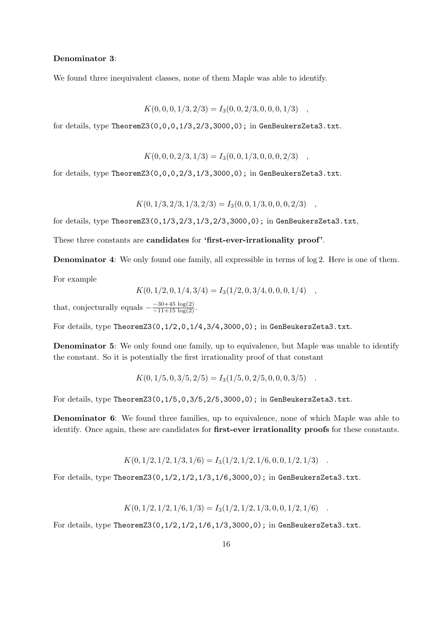## Denominator 3:

We found three inequivalent classes, none of them Maple was able to identify.

$$
K(0,0,0,1/3,2/3) = I_3(0,0,2/3,0,0,0,1/3)
$$

for details, type TheoremZ3 $(0,0,0,1/3,2/3,3000,0)$ ; in GenBeukersZeta3.txt.

$$
K(0,0,0,2/3,1/3) = I_3(0,0,1/3,0,0,0,2/3)
$$

for details, type TheoremZ3( $0, 0, 0, 2/3, 1/3, 3000, 0$ ); in GenBeukersZeta3.txt.

$$
K(0, 1/3, 2/3, 1/3, 2/3) = I_3(0, 0, 1/3, 0, 0, 0, 2/3) ,
$$

for details, type TheoremZ3(0,1/3,2/3,1/3,2/3,3000,0); in GenBeukersZeta3.txt,

These three constants are **candidates** for **'first-ever-irrationality proof'**.

Denominator 4: We only found one family, all expressible in terms of log 2. Here is one of them.

For example

$$
K(0, 1/2, 0, 1/4, 3/4) = I_3(1/2, 0, 3/4, 0, 0, 0, 1/4)
$$

that, conjecturally equals  $-\frac{-30+45 \log(2)}{-11+15 \log(2)}$ .

For details, type TheoremZ3(0,1/2,0,1/4,3/4,3000,0); in GenBeukersZeta3.txt.

Denominator 5: We only found one family, up to equivalence, but Maple was unable to identify the constant. So it is potentially the first irrationality proof of that constant

$$
K(0, 1/5, 0, 3/5, 2/5) = I_3(1/5, 0, 2/5, 0, 0, 0, 3/5) .
$$

For details, type TheoremZ3(0,1/5,0,3/5,2/5,3000,0); in GenBeukersZeta3.txt.

Denominator 6: We found three families, up to equivalence, none of which Maple was able to identify. Once again, these are candidates for first-ever irrationality proofs for these constants.

$$
K(0,1/2,1/2,1/3,1/6) = I_3(1/2,1/2,1/6,0,0,1/2,1/3)
$$

For details, type TheoremZ3(0,1/2,1/2,1/3,1/6,3000,0); in GenBeukersZeta3.txt.

$$
K(0,1/2,1/2,1/6,1/3) = I_3(1/2,1/2,1/3,0,0,1/2,1/6)
$$

For details, type TheoremZ3( $0,1/2,1/2,1/6,1/3,3000,0$ ); in GenBeukersZeta3.txt.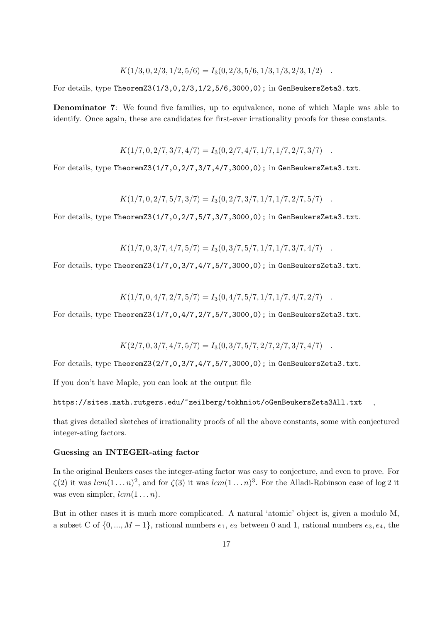$$
K(1/3, 0, 2/3, 1/2, 5/6) = I_3(0, 2/3, 5/6, 1/3, 1/3, 2/3, 1/2) .
$$

For details, type TheoremZ3( $1/3,0,2/3,1/2,5/6,3000,0$ ); in GenBeukersZeta3.txt.

Denominator 7: We found five families, up to equivalence, none of which Maple was able to identify. Once again, these are candidates for first-ever irrationality proofs for these constants.

 $K(1/7, 0, 2/7, 3/7, 4/7) = I_3(0, 2/7, 4/7, 1/7, 1/7, 2/7, 3/7)$ .

For details, type TheoremZ3(1/7,0,2/7,3/7,4/7,3000,0); in GenBeukersZeta3.txt.

$$
K(1/7,0,2/7,5/7,3/7) = I_3(0,2/7,3/7,1/7,1/7,2/7,5/7)
$$

For details, type TheoremZ3(1/7,0,2/7,5/7,3/7,3000,0); in GenBeukersZeta3.txt.

 $K(1/7, 0, 3/7, 4/7, 5/7) = I_3(0, 3/7, 5/7, 1/7, 1/7, 3/7, 4/7)$ .

For details, type TheoremZ3(1/7,0,3/7,4/7,5/7,3000,0); in GenBeukersZeta3.txt.

$$
K(1/7,0,4/7,2/7,5/7) = I_3(0,4/7,5/7,1/7,1/7,4/7,2/7)
$$

For details, type TheoremZ3(1/7,0,4/7,2/7,5/7,3000,0); in GenBeukersZeta3.txt.

$$
K(2/7,0,3/7,4/7,5/7) = I_3(0,3/7,5/7,2/7,2/7,3/7,4/7)
$$

For details, type TheoremZ3(2/7,0,3/7,4/7,5/7,3000,0); in GenBeukersZeta3.txt.

If you don't have Maple, you can look at the output file

## https://sites.math.rutgers.edu/~zeilberg/tokhniot/oGenBeukersZeta3All.txt

that gives detailed sketches of irrationality proofs of all the above constants, some with conjectured integer-ating factors.

#### Guessing an INTEGER-ating factor

In the original Beukers cases the integer-ating factor was easy to conjecture, and even to prove. For  $\zeta(2)$  it was  $lcm(1 \ldots n)^2$ , and for  $\zeta(3)$  it was  $lcm(1 \ldots n)^3$ . For the Alladi-Robinson case of log 2 it was even simpler,  $lcm(1...n)$ .

But in other cases it is much more complicated. A natural 'atomic' object is, given a modulo M, a subset C of  $\{0, ..., M-1\}$ , rational numbers  $e_1, e_2$  between 0 and 1, rational numbers  $e_3, e_4$ , the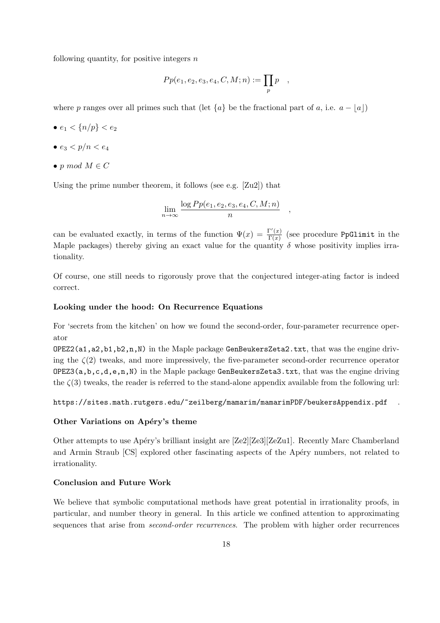following quantity, for positive integers  $n$ 

$$
Pp(e_1, e_2, e_3, e_4, C, M; n) := \prod_p p \quad ,
$$

where p ranges over all primes such that (let  ${a}$  be the fractional part of a, i.e.  $a - |a|$ )

- $e_1 < \{n/p\} < e_2$
- $e_3 < p/n < e_4$
- p mod  $M \in C$

Using the prime number theorem, it follows (see e.g. [Zu2]) that

$$
\lim_{n \to \infty} \frac{\log Pp(e_1, e_2, e_3, e_4, C, M; n)}{n}
$$

,

can be evaluated exactly, in terms of the function  $\Psi(x) = \frac{\Gamma'(x)}{\Gamma(x)}$  $\frac{\Gamma(x)}{\Gamma(x)}$  (see procedure PpGlimit in the Maple packages) thereby giving an exact value for the quantity  $\delta$  whose positivity implies irrationality.

Of course, one still needs to rigorously prove that the conjectured integer-ating factor is indeed correct.

#### Looking under the hood: On Recurrence Equations

For 'secrets from the kitchen' on how we found the second-order, four-parameter recurrence operator

OPEZ2(a1,a2,b1,b2,n,N) in the Maple package GenBeukersZeta2.txt, that was the engine driving the  $\zeta(2)$  tweaks, and more impressively, the five-parameter second-order recurrence operator  $OPEZ3(a,b,c,d,e,n,N)$  in the Maple package GenBeukersZeta3.txt, that was the engine driving the  $\zeta(3)$  tweaks, the reader is referred to the stand-alone appendix available from the following url:

#### https://sites.math.rutgers.edu/~zeilberg/mamarim/mamarimPDF/beukersAppendix.pdf

## Other Variations on Apéry's theme

Other attempts to use Apéry's brilliant insight are [Ze2][Ze3][ZeZu1]. Recently Marc Chamberland and Armin Straub [CS] explored other fascinating aspects of the Apéry numbers, not related to irrationality.

## Conclusion and Future Work

We believe that symbolic computational methods have great potential in irrationality proofs, in particular, and number theory in general. In this article we confined attention to approximating sequences that arise from second-order recurrences. The problem with higher order recurrences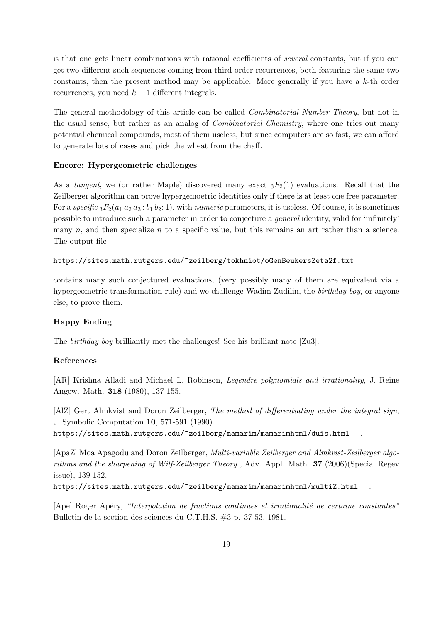is that one gets linear combinations with rational coefficients of *several* constants, but if you can get two different such sequences coming from third-order recurrences, both featuring the same two constants, then the present method may be applicable. More generally if you have a  $k$ -th order recurrences, you need  $k - 1$  different integrals.

The general methodology of this article can be called Combinatorial Number Theory, but not in the usual sense, but rather as an analog of Combinatorial Chemistry, where one tries out many potential chemical compounds, most of them useless, but since computers are so fast, we can afford to generate lots of cases and pick the wheat from the chaff.

## Encore: Hypergeometric challenges

As a tangent, we (or rather Maple) discovered many exact  ${}_{3}F_2(1)$  evaluations. Recall that the Zeilberger algorithm can prove hypergemoetric identities only if there is at least one free parameter. For a specific  ${}_{3}F_{2}(a_1 a_2 a_3; b_1 b_2; 1)$ , with numeric parameters, it is useless. Of course, it is sometimes possible to introduce such a parameter in order to conjecture a general identity, valid for 'infinitely' many  $n$ , and then specialize  $n$  to a specific value, but this remains an art rather than a science. The output file

#### https://sites.math.rutgers.edu/~zeilberg/tokhniot/oGenBeukersZeta2f.txt

contains many such conjectured evaluations, (very possibly many of them are equivalent via a hypergeometric transformation rule) and we challenge Wadim Zudilin, the birthday boy, or anyone else, to prove them.

## Happy Ending

The birthday boy brilliantly met the challenges! See his brilliant note [Zu3].

#### References

[AR] Krishna Alladi and Michael L. Robinson, Legendre polynomials and irrationality, J. Reine Angew. Math. 318 (1980), 137-155.

[AlZ] Gert Almkvist and Doron Zeilberger, The method of differentiating under the integral sign, J. Symbolic Computation 10, 571-591 (1990).

https://sites.math.rutgers.edu/~zeilberg/mamarim/mamarimhtml/duis.html

[ApaZ] Moa Apagodu and Doron Zeilberger, Multi-variable Zeilberger and Almkvist-Zeilberger algorithms and the sharpening of Wilf-Zeilberger Theory , Adv. Appl. Math. 37 (2006)(Special Regev issue), 139-152.

https://sites.math.rutgers.edu/~zeilberg/mamarim/mamarimhtml/multiZ.html .

 $[A \text{pe}]$  Roger Apéry, "Interpolation de fractions continues et irrationalité de certaine constantes" Bulletin de la section des sciences du C.T.H.S. #3 p. 37-53, 1981.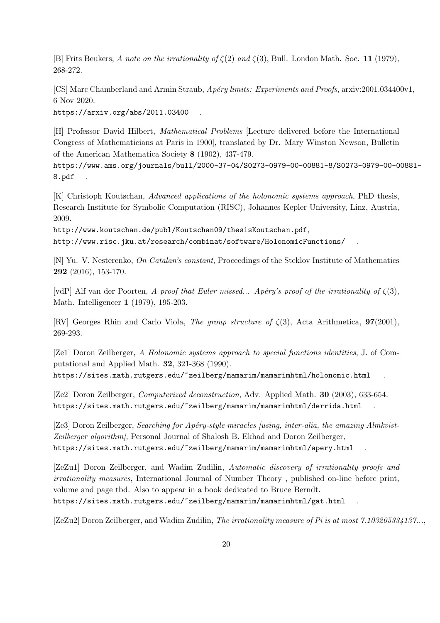[B] Frits Beukers, A note on the irrationality of  $\zeta(2)$  and  $\zeta(3)$ , Bull. London Math. Soc. 11 (1979), 268-272.

[CS] Marc Chamberland and Armin Straub, Apéry limits: Experiments and Proofs, arxiv:2001.034400v1, 6 Nov 2020.

https://arxiv.org/abs/2011.03400 .

[H] Professor David Hilbert, Mathematical Problems [Lecture delivered before the International Congress of Mathematicians at Paris in 1900], translated by Dr. Mary Winston Newson, Bulletin of the American Mathematica Society 8 (1902), 437-479.

https://www.ams.org/journals/bull/2000-37-04/S0273-0979-00-00881-8/S0273-0979-00-00881- 8.pdf .

[K] Christoph Koutschan, Advanced applications of the holonomic systems approach, PhD thesis, Research Institute for Symbolic Computation (RISC), Johannes Kepler University, Linz, Austria, 2009.

http://www.koutschan.de/publ/Koutschan09/thesisKoutschan.pdf,

http://www.risc.jku.at/research/combinat/software/HolonomicFunctions/ .

[N] Yu. V. Nesterenko, On Catalan's constant, Proceedings of the Steklov Institute of Mathematics 292 (2016), 153-170.

[vdP] Alf van der Poorten, A proof that Euler missed... Apéry's proof of the irrationality of  $\zeta(3)$ , Math. Intelligencer 1 (1979), 195-203.

[RV] Georges Rhin and Carlo Viola, The group structure of  $\zeta(3)$ , Acta Arithmetica, **97**(2001), 269-293.

[Ze1] Doron Zeilberger, A Holonomic systems approach to special functions identities, J. of Computational and Applied Math. 32, 321-368 (1990). https://sites.math.rutgers.edu/~zeilberg/mamarim/mamarimhtml/holonomic.html .

[Ze2] Doron Zeilberger, Computerized deconstruction, Adv. Applied Math. 30 (2003), 633-654. https://sites.math.rutgers.edu/~zeilberg/mamarim/mamarimhtml/derrida.html .

[Ze3] Doron Zeilberger, Searching for Apéry-style miracles [using, inter-alia, the amazing Almkvist-Zeilberger algorithm], Personal Journal of Shalosh B. Ekhad and Doron Zeilberger, https://sites.math.rutgers.edu/~zeilberg/mamarim/mamarimhtml/apery.html .

[ZeZu1] Doron Zeilberger, and Wadim Zudilin, Automatic discovery of irrationality proofs and irrationality measures, International Journal of Number Theory , published on-line before print, volume and page tbd. Also to appear in a book dedicated to Bruce Berndt. https://sites.math.rutgers.edu/~zeilberg/mamarim/mamarimhtml/gat.html .

[ZeZu2] Doron Zeilberger, and Wadim Zudilin, The irrationality measure of Pi is at most 7.103205334137...,